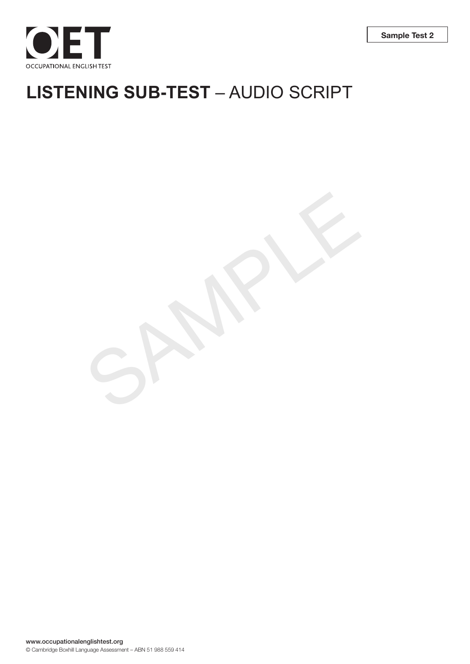

# **LISTENING SUB-TEST** – AUDIO SCRIPT

SAMPLE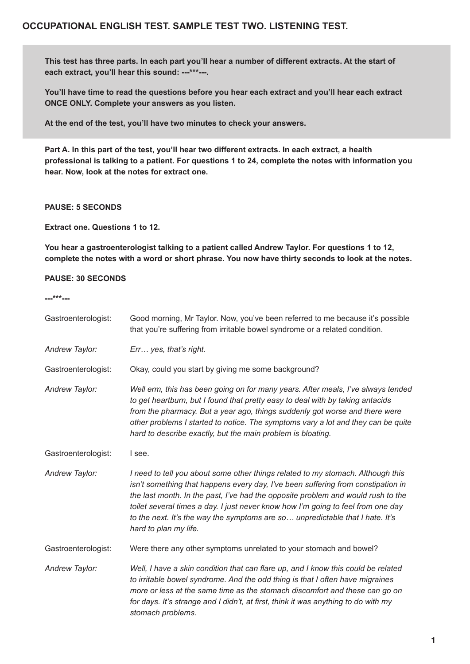# **OCCUPATIONAL ENGLISH TEST. SAMPLE TEST TWO. LISTENING TEST.**

**This test has three parts. In each part you'll hear a number of different extracts. At the start of each extract, you'll hear this sound: ---\*\*\*---.** 

**You'll have time to read the questions before you hear each extract and you'll hear each extract ONCE ONLY. Complete your answers as you listen.** 

**At the end of the test, you'll have two minutes to check your answers.**

Part A. In this part of the test, you'll hear two different extracts. In each extract, a health **professional is talking to a patient. For questions 1 to 24, complete the notes with information you hear. Now, look at the notes for extract one.**

#### **PAUSE: 5 SECONDS**

**Extract one. Questions 1 to 12.**

**You hear a gastroenterologist talking to a patient called Andrew Taylor. For questions 1 to 12, complete the notes with a word or short phrase. You now have thirty seconds to look at the notes.**

#### **PAUSE: 30 SECONDS**

**---\*\*\*---**

| Gastroenterologist: | Good morning, Mr Taylor. Now, you've been referred to me because it's possible<br>that you're suffering from irritable bowel syndrome or a related condition.                                                                                                                                                                                                                                                                                         |
|---------------------|-------------------------------------------------------------------------------------------------------------------------------------------------------------------------------------------------------------------------------------------------------------------------------------------------------------------------------------------------------------------------------------------------------------------------------------------------------|
| Andrew Taylor:      | Err yes, that's right.                                                                                                                                                                                                                                                                                                                                                                                                                                |
| Gastroenterologist: | Okay, could you start by giving me some background?                                                                                                                                                                                                                                                                                                                                                                                                   |
| Andrew Taylor:      | Well erm, this has been going on for many years. After meals, I've always tended<br>to get heartburn, but I found that pretty easy to deal with by taking antacids<br>from the pharmacy. But a year ago, things suddenly got worse and there were<br>other problems I started to notice. The symptoms vary a lot and they can be quite<br>hard to describe exactly, but the main problem is bloating.                                                 |
| Gastroenterologist: | I see.                                                                                                                                                                                                                                                                                                                                                                                                                                                |
| Andrew Taylor:      | I need to tell you about some other things related to my stomach. Although this<br>isn't something that happens every day, I've been suffering from constipation in<br>the last month. In the past, I've had the opposite problem and would rush to the<br>toilet several times a day. I just never know how I'm going to feel from one day<br>to the next. It's the way the symptoms are so unpredictable that I hate. It's<br>hard to plan my life. |
| Gastroenterologist: | Were there any other symptoms unrelated to your stomach and bowel?                                                                                                                                                                                                                                                                                                                                                                                    |
| Andrew Taylor:      | Well, I have a skin condition that can flare up, and I know this could be related<br>to irritable bowel syndrome. And the odd thing is that I often have migraines<br>more or less at the same time as the stomach discomfort and these can go on<br>for days. It's strange and I didn't, at first, think it was anything to do with my<br>stomach problems.                                                                                          |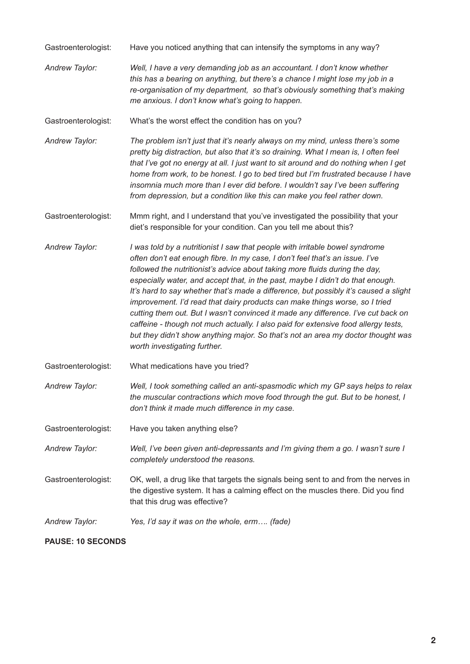Gastroenterologist: Have you noticed anything that can intensify the symptoms in any way?

*Andrew Taylor: Well, I have a very demanding job as an accountant. I don't know whether this has a bearing on anything, but there's a chance I might lose my job in a re-organisation of my department, so that's obviously something that's making me anxious. I don't know what's going to happen.*

Gastroenterologist: What's the worst effect the condition has on you?

*Andrew Taylor: The problem isn't just that it's nearly always on my mind, unless there's some pretty big distraction, but also that it's so draining. What I mean is, I often feel that I've got no energy at all. I just want to sit around and do nothing when I get home from work, to be honest. I go to bed tired but I'm frustrated because I have insomnia much more than I ever did before. I wouldn't say I've been suffering from depression, but a condition like this can make you feel rather down.*

Gastroenterologist: Mmm right, and I understand that you've investigated the possibility that your diet's responsible for your condition. Can you tell me about this?

- *Andrew Taylor: I was told by a nutritionist I saw that people with irritable bowel syndrome often don't eat enough fibre. In my case, I don't feel that's an issue. I've followed the nutritionist's advice about taking more fluids during the day, especially water, and accept that, in the past, maybe I didn't do that enough. It's hard to say whether that's made a difference, but possibly it's caused a slight improvement. I'd read that dairy products can make things worse, so I tried cutting them out. But I wasn't convinced it made any difference. I've cut back on caffeine - though not much actually. I also paid for extensive food allergy tests, but they didn't show anything major. So that's not an area my doctor thought was worth investigating further.*
- Gastroenterologist: What medications have you tried?

*Andrew Taylor: Well, I took something called an anti-spasmodic which my GP says helps to relax the muscular contractions which move food through the gut. But to be honest, I don't think it made much difference in my case.* 

- Gastroenterologist: Have you taken anything else?
- *Andrew Taylor: Well, I've been given anti-depressants and I'm giving them a go. I wasn't sure I completely understood the reasons.*

Gastroenterologist: OK, well, a drug like that targets the signals being sent to and from the nerves in the digestive system. It has a calming effect on the muscles there. Did you find that this drug was effective?

*Andrew Taylor: Yes, I'd say it was on the whole, erm…. (fade)*

#### **PAUSE: 10 SECONDS**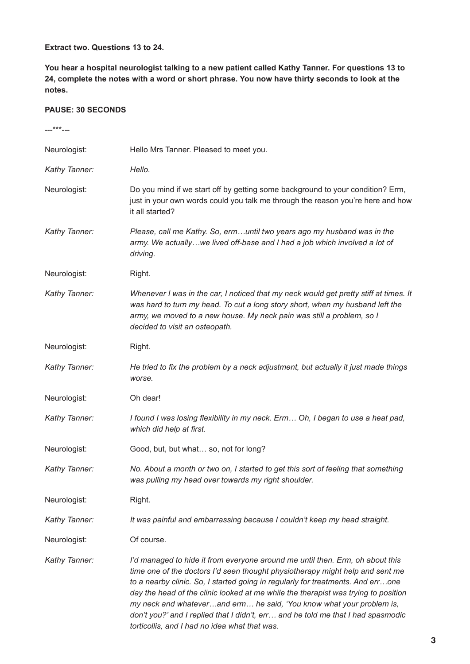## **Extract two. Questions 13 to 24.**

**You hear a hospital neurologist talking to a new patient called Kathy Tanner. For questions 13 to 24, complete the notes with a word or short phrase. You now have thirty seconds to look at the notes.**

## **PAUSE: 30 SECONDS**

| ---***---     |                                                                                                                                                                                                                                                                                                                                                                                                                                                                                                                                                      |
|---------------|------------------------------------------------------------------------------------------------------------------------------------------------------------------------------------------------------------------------------------------------------------------------------------------------------------------------------------------------------------------------------------------------------------------------------------------------------------------------------------------------------------------------------------------------------|
| Neurologist:  | Hello Mrs Tanner. Pleased to meet you.                                                                                                                                                                                                                                                                                                                                                                                                                                                                                                               |
| Kathy Tanner: | Hello.                                                                                                                                                                                                                                                                                                                                                                                                                                                                                                                                               |
| Neurologist:  | Do you mind if we start off by getting some background to your condition? Erm,<br>just in your own words could you talk me through the reason you're here and how<br>it all started?                                                                                                                                                                                                                                                                                                                                                                 |
| Kathy Tanner: | Please, call me Kathy. So, ermuntil two years ago my husband was in the<br>army. We actuallywe lived off-base and I had a job which involved a lot of<br>driving.                                                                                                                                                                                                                                                                                                                                                                                    |
| Neurologist:  | Right.                                                                                                                                                                                                                                                                                                                                                                                                                                                                                                                                               |
| Kathy Tanner: | Whenever I was in the car, I noticed that my neck would get pretty stiff at times. It<br>was hard to turn my head. To cut a long story short, when my husband left the<br>army, we moved to a new house. My neck pain was still a problem, so I<br>decided to visit an osteopath.                                                                                                                                                                                                                                                                    |
| Neurologist:  | Right.                                                                                                                                                                                                                                                                                                                                                                                                                                                                                                                                               |
| Kathy Tanner: | He tried to fix the problem by a neck adjustment, but actually it just made things<br>worse.                                                                                                                                                                                                                                                                                                                                                                                                                                                         |
| Neurologist:  | Oh dear!                                                                                                                                                                                                                                                                                                                                                                                                                                                                                                                                             |
| Kathy Tanner: | I found I was losing flexibility in my neck. Erm Oh, I began to use a heat pad,<br>which did help at first.                                                                                                                                                                                                                                                                                                                                                                                                                                          |
| Neurologist:  | Good, but, but what so, not for long?                                                                                                                                                                                                                                                                                                                                                                                                                                                                                                                |
| Kathy Tanner: | No. About a month or two on, I started to get this sort of feeling that something<br>was pulling my head over towards my right shoulder.                                                                                                                                                                                                                                                                                                                                                                                                             |
| Neurologist:  | Right.                                                                                                                                                                                                                                                                                                                                                                                                                                                                                                                                               |
| Kathy Tanner: | It was painful and embarrassing because I couldn't keep my head straight.                                                                                                                                                                                                                                                                                                                                                                                                                                                                            |
| Neurologist:  | Of course.                                                                                                                                                                                                                                                                                                                                                                                                                                                                                                                                           |
| Kathy Tanner: | I'd managed to hide it from everyone around me until then. Erm, oh about this<br>time one of the doctors I'd seen thought physiotherapy might help and sent me<br>to a nearby clinic. So, I started going in regularly for treatments. And errone<br>day the head of the clinic looked at me while the therapist was trying to position<br>my neck and whateverand erm he said, 'You know what your problem is,<br>don't you?' and I replied that I didn't, err and he told me that I had spasmodic<br>torticollis, and I had no idea what that was. |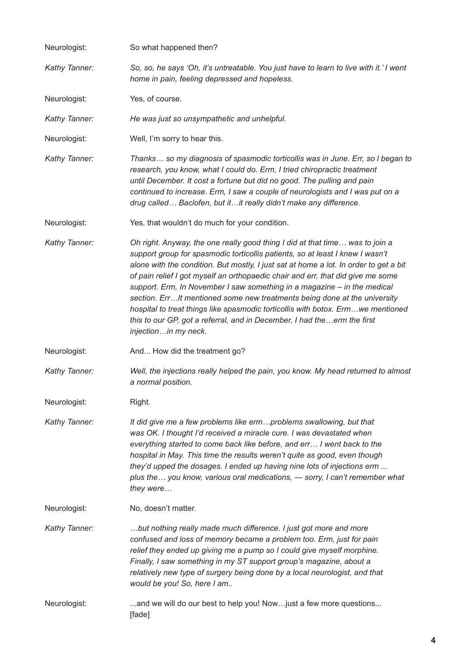| Neurologist:  | So what happened then?                                                                                                                                                                                                                                                                                                                                                                                                                                                                                                                                                                                                                                                                   |
|---------------|------------------------------------------------------------------------------------------------------------------------------------------------------------------------------------------------------------------------------------------------------------------------------------------------------------------------------------------------------------------------------------------------------------------------------------------------------------------------------------------------------------------------------------------------------------------------------------------------------------------------------------------------------------------------------------------|
| Kathy Tanner: | So, so, he says 'Oh, it's untreatable. You just have to learn to live with it.' I went<br>home in pain, feeling depressed and hopeless.                                                                                                                                                                                                                                                                                                                                                                                                                                                                                                                                                  |
| Neurologist:  | Yes, of course.                                                                                                                                                                                                                                                                                                                                                                                                                                                                                                                                                                                                                                                                          |
| Kathy Tanner: | He was just so unsympathetic and unhelpful.                                                                                                                                                                                                                                                                                                                                                                                                                                                                                                                                                                                                                                              |
| Neurologist:  | Well, I'm sorry to hear this.                                                                                                                                                                                                                                                                                                                                                                                                                                                                                                                                                                                                                                                            |
| Kathy Tanner: | Thanks so my diagnosis of spasmodic torticollis was in June. Err, so I began to<br>research, you know, what I could do. Erm, I tried chiropractic treatment<br>until December. It cost a fortune but did no good. The pulling and pain<br>continued to increase. Erm, I saw a couple of neurologists and I was put on a<br>drug called Baclofen, but itit really didn't make any difference.                                                                                                                                                                                                                                                                                             |
| Neurologist:  | Yes, that wouldn't do much for your condition.                                                                                                                                                                                                                                                                                                                                                                                                                                                                                                                                                                                                                                           |
| Kathy Tanner: | Oh right. Anyway, the one really good thing I did at that time was to join a<br>support group for spasmodic torticollis patients, so at least I knew I wasn't<br>alone with the condition. But mostly, I just sat at home a lot. In order to get a bit<br>of pain relief I got myself an orthopaedic chair and err, that did give me some<br>support. Erm, In November I saw something in a magazine - in the medical<br>section. ErrIt mentioned some new treatments being done at the university<br>hospital to treat things like spasmodic torticollis with botox. Ermwe mentioned<br>this to our GP, got a referral, and in December, I had theerm the first<br>injectionin my neck. |
| Neurologist:  | And How did the treatment go?                                                                                                                                                                                                                                                                                                                                                                                                                                                                                                                                                                                                                                                            |
| Kathy Tanner: | Well, the injections really helped the pain, you know. My head returned to almost<br>a normal position.                                                                                                                                                                                                                                                                                                                                                                                                                                                                                                                                                                                  |
| Neurologist:  | Right.                                                                                                                                                                                                                                                                                                                                                                                                                                                                                                                                                                                                                                                                                   |
| Kathy Tanner: | It did give me a few problems like ermproblems swallowing, but that<br>was OK. I thought I'd received a miracle cure. I was devastated when<br>everything started to come back like before, and err I went back to the<br>hospital in May. This time the results weren't quite as good, even though<br>they'd upped the dosages. I ended up having nine lots of injections erm<br>plus the you know, various oral medications, - sorry, I can't remember what<br>they were                                                                                                                                                                                                               |
| Neurologist:  | No, doesn't matter.                                                                                                                                                                                                                                                                                                                                                                                                                                                                                                                                                                                                                                                                      |
| Kathy Tanner: | but nothing really made much difference. I just got more and more<br>confused and loss of memory became a problem too. Erm, just for pain<br>relief they ended up giving me a pump so I could give myself morphine.<br>Finally, I saw something in my ST support group's magazine, about a<br>relatively new type of surgery being done by a local neurologist, and that<br>would be you! So, here I am                                                                                                                                                                                                                                                                                  |
| Neurologist:  | and we will do our best to help you! Nowjust a few more questions<br>[fade]                                                                                                                                                                                                                                                                                                                                                                                                                                                                                                                                                                                                              |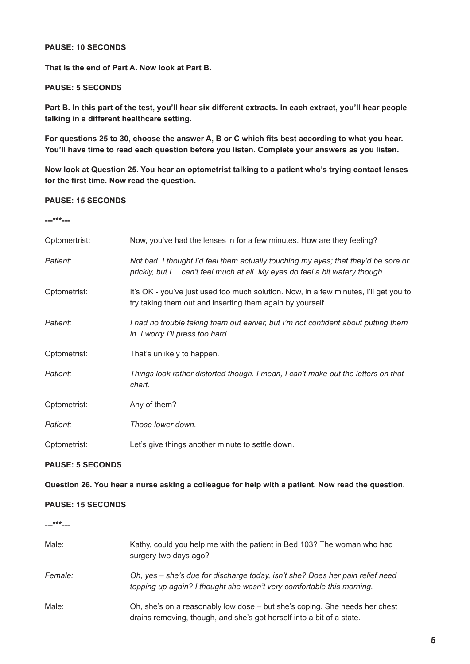#### **PAUSE: 10 SECONDS**

**That is the end of Part A. Now look at Part B.**

#### **PAUSE: 5 SECONDS**

**Part B. In this part of the test, you'll hear six different extracts. In each extract, you'll hear people talking in a different healthcare setting.**

**For questions 25 to 30, choose the answer A, B or C which fits best according to what you hear. You'll have time to read each question before you listen. Complete your answers as you listen.**

**Now look at Question 25. You hear an optometrist talking to a patient who's trying contact lenses for the first time. Now read the question.**

#### **PAUSE: 15 SECONDS**

**---\*\*\*---**

| Optomertrist: | Now, you've had the lenses in for a few minutes. How are they feeling?                                                                                            |
|---------------|-------------------------------------------------------------------------------------------------------------------------------------------------------------------|
| Patient:      | Not bad. I thought I'd feel them actually touching my eyes; that they'd be sore or<br>prickly, but I can't feel much at all. My eyes do feel a bit watery though. |
| Optometrist:  | It's OK - you've just used too much solution. Now, in a few minutes, I'll get you to<br>try taking them out and inserting them again by yourself.                 |
| Patient:      | I had no trouble taking them out earlier, but I'm not confident about putting them<br>in. I worry I'll press too hard.                                            |
| Optometrist:  | That's unlikely to happen.                                                                                                                                        |
| Patient:      | Things look rather distorted though. I mean, I can't make out the letters on that<br>chart.                                                                       |
| Optometrist:  | Any of them?                                                                                                                                                      |
| Patient:      | Those lower down.                                                                                                                                                 |
| Optometrist:  | Let's give things another minute to settle down.                                                                                                                  |

## **PAUSE: 5 SECONDS**

**Question 26. You hear a nurse asking a colleague for help with a patient. Now read the question.**

#### **PAUSE: 15 SECONDS**

**---\*\*\*---**

| Male:   | Kathy, could you help me with the patient in Bed 103? The woman who had<br>surgery two days ago?                                                       |
|---------|--------------------------------------------------------------------------------------------------------------------------------------------------------|
| Female: | Oh, yes – she's due for discharge today, isn't she? Does her pain relief need<br>topping up again? I thought she wasn't very comfortable this morning. |
| Male:   | Oh, she's on a reasonably low dose – but she's coping. She needs her chest<br>drains removing, though, and she's got herself into a bit of a state.    |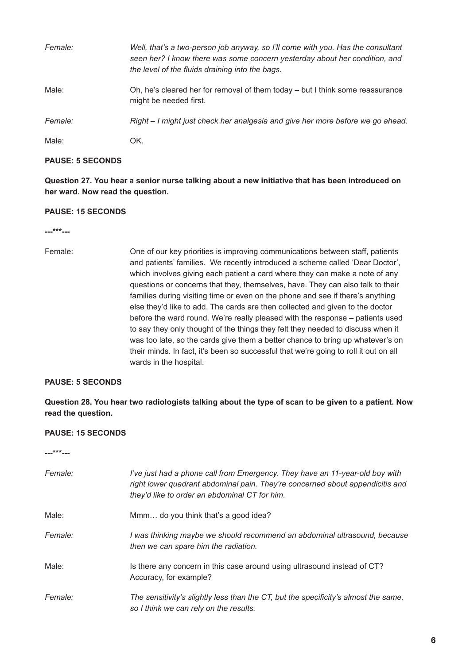| Female: | Well, that's a two-person job anyway, so I'll come with you. Has the consultant<br>seen her? I know there was some concern yesterday about her condition, and<br>the level of the fluids draining into the bags. |
|---------|------------------------------------------------------------------------------------------------------------------------------------------------------------------------------------------------------------------|
| Male:   | Oh, he's cleared her for removal of them today – but I think some reassurance<br>might be needed first.                                                                                                          |
| Female: | Right – I might just check her analgesia and give her more before we go ahead.                                                                                                                                   |
| Male:   | OK.                                                                                                                                                                                                              |

# **PAUSE: 5 SECONDS**

**Question 27. You hear a senior nurse talking about a new initiative that has been introduced on her ward. Now read the question.**

# **PAUSE: 15 SECONDS**

**---\*\*\*---**

Female: One of our key priorities is improving communications between staff, patients and patients' families. We recently introduced a scheme called 'Dear Doctor', which involves giving each patient a card where they can make a note of any questions or concerns that they, themselves, have. They can also talk to their families during visiting time or even on the phone and see if there's anything else they'd like to add. The cards are then collected and given to the doctor before the ward round. We're really pleased with the response – patients used to say they only thought of the things they felt they needed to discuss when it was too late, so the cards give them a better chance to bring up whatever's on their minds. In fact, it's been so successful that we're going to roll it out on all wards in the hospital.

#### **PAUSE: 5 SECONDS**

**Question 28. You hear two radiologists talking about the type of scan to be given to a patient. Now read the question.**

#### **PAUSE: 15 SECONDS**

**---\*\*\*---**

| Female: | I've just had a phone call from Emergency. They have an 11-year-old boy with<br>right lower quadrant abdominal pain. They're concerned about appendicitis and<br>they'd like to order an abdominal CT for him. |
|---------|----------------------------------------------------------------------------------------------------------------------------------------------------------------------------------------------------------------|
| Male:   | Mmm do you think that's a good idea?                                                                                                                                                                           |
| Female: | I was thinking maybe we should recommend an abdominal ultrasound, because<br>then we can spare him the radiation.                                                                                              |
| Male:   | Is there any concern in this case around using ultrasound instead of CT?<br>Accuracy, for example?                                                                                                             |
| Female: | The sensitivity's slightly less than the CT, but the specificity's almost the same,<br>so I think we can rely on the results.                                                                                  |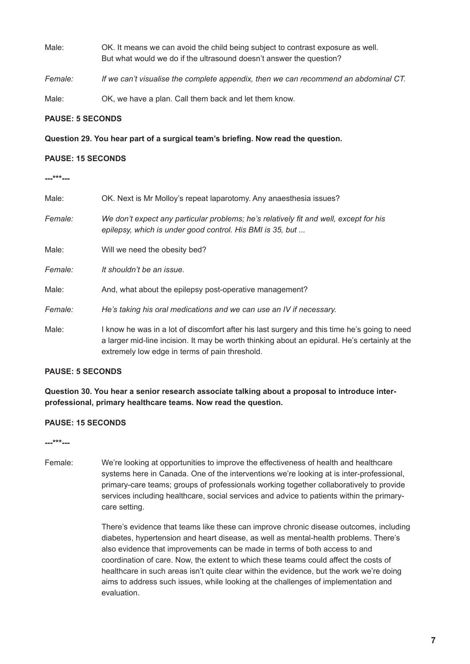- Male: OK. It means we can avoid the child being subject to contrast exposure as well. But what would we do if the ultrasound doesn't answer the question?
- *Female: If we can't visualise the complete appendix, then we can recommend an abdominal CT.*

Male: OK, we have a plan. Call them back and let them know.

#### **PAUSE: 5 SECONDS**

**Question 29. You hear part of a surgical team's briefing. Now read the question.**

#### **PAUSE: 15 SECONDS**

**---\*\*\*---**

| Male:   | OK. Next is Mr Molloy's repeat laparotomy. Any anaesthesia issues?                                                                                                                                                                              |
|---------|-------------------------------------------------------------------------------------------------------------------------------------------------------------------------------------------------------------------------------------------------|
| Female: | We don't expect any particular problems; he's relatively fit and well, except for his<br>epilepsy, which is under good control. His BMI is 35, but                                                                                              |
| Male:   | Will we need the obesity bed?                                                                                                                                                                                                                   |
| Female: | It shouldn't be an issue.                                                                                                                                                                                                                       |
| Male:   | And, what about the epilepsy post-operative management?                                                                                                                                                                                         |
| Female: | He's taking his oral medications and we can use an IV if necessary.                                                                                                                                                                             |
| Male:   | I know he was in a lot of discomfort after his last surgery and this time he's going to need<br>a larger mid-line incision. It may be worth thinking about an epidural. He's certainly at the<br>extremely low edge in terms of pain threshold. |

#### **PAUSE: 5 SECONDS**

**Question 30. You hear a senior research associate talking about a proposal to introduce interprofessional, primary healthcare teams. Now read the question.**

#### **PAUSE: 15 SECONDS**

**---\*\*\*---**

Female: We're looking at opportunities to improve the effectiveness of health and healthcare systems here in Canada. One of the interventions we're looking at is inter-professional, primary-care teams; groups of professionals working together collaboratively to provide services including healthcare, social services and advice to patients within the primary care setting.

> There's evidence that teams like these can improve chronic disease outcomes, including diabetes, hypertension and heart disease, as well as mental-health problems. There's also evidence that improvements can be made in terms of both access to and coordination of care. Now, the extent to which these teams could affect the costs of healthcare in such areas isn't quite clear within the evidence, but the work we're doing aims to address such issues, while looking at the challenges of implementation and evaluation.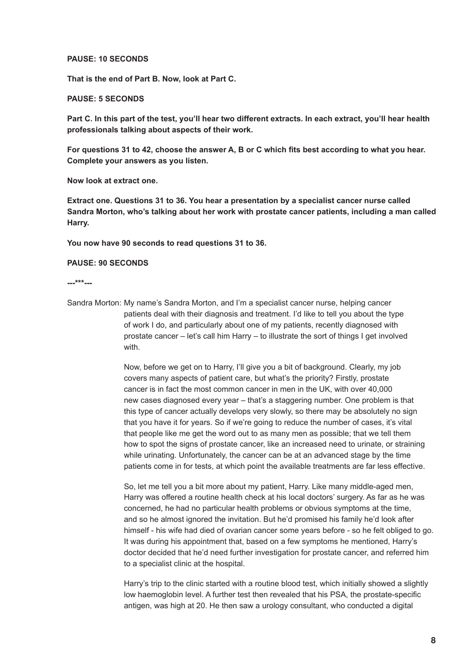#### **PAUSE: 10 SECONDS**

**That is the end of Part B. Now, look at Part C.**

#### **PAUSE: 5 SECONDS**

**Part C. In this part of the test, you'll hear two different extracts. In each extract, you'll hear health professionals talking about aspects of their work.**

**For questions 31 to 42, choose the answer A, B or C which fits best according to what you hear. Complete your answers as you listen.**

**Now look at extract one.** 

**Extract one. Questions 31 to 36. You hear a presentation by a specialist cancer nurse called Sandra Morton, who's talking about her work with prostate cancer patients, including a man called Harry.** 

**You now have 90 seconds to read questions 31 to 36.**

#### **PAUSE: 90 SECONDS**

**---\*\*\*---**

Sandra Morton: My name's Sandra Morton, and I'm a specialist cancer nurse, helping cancer patients deal with their diagnosis and treatment. I'd like to tell you about the type of work I do, and particularly about one of my patients, recently diagnosed with prostate cancer – let's call him Harry – to illustrate the sort of things I get involved with.

> Now, before we get on to Harry, I'll give you a bit of background. Clearly, my job covers many aspects of patient care, but what's the priority? Firstly, prostate cancer is in fact the most common cancer in men in the UK, with over 40,000 new cases diagnosed every year – that's a staggering number. One problem is that this type of cancer actually develops very slowly, so there may be absolutely no sign that you have it for years. So if we're going to reduce the number of cases, it's vital that people like me get the word out to as many men as possible; that we tell them how to spot the signs of prostate cancer, like an increased need to urinate, or straining while urinating. Unfortunately, the cancer can be at an advanced stage by the time patients come in for tests, at which point the available treatments are far less effective.

 So, let me tell you a bit more about my patient, Harry. Like many middle-aged men, Harry was offered a routine health check at his local doctors' surgery. As far as he was concerned, he had no particular health problems or obvious symptoms at the time, and so he almost ignored the invitation. But he'd promised his family he'd look after himself - his wife had died of ovarian cancer some years before - so he felt obliged to go. It was during his appointment that, based on a few symptoms he mentioned, Harry's doctor decided that he'd need further investigation for prostate cancer, and referred him to a specialist clinic at the hospital.

 Harry's trip to the clinic started with a routine blood test, which initially showed a slightly low haemoglobin level. A further test then revealed that his PSA, the prostate-specific antigen, was high at 20. He then saw a urology consultant, who conducted a digital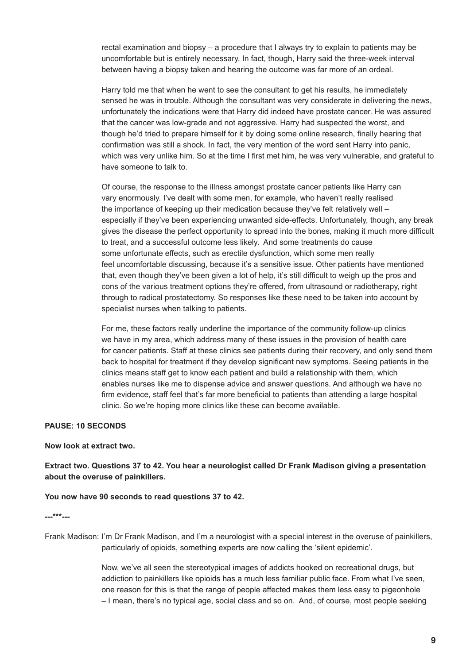rectal examination and biopsy – a procedure that I always try to explain to patients may be uncomfortable but is entirely necessary. In fact, though, Harry said the three-week interval between having a biopsy taken and hearing the outcome was far more of an ordeal.

Harry told me that when he went to see the consultant to get his results, he immediately sensed he was in trouble. Although the consultant was very considerate in delivering the news, unfortunately the indications were that Harry did indeed have prostate cancer. He was assured that the cancer was low-grade and not aggressive. Harry had suspected the worst, and though he'd tried to prepare himself for it by doing some online research, finally hearing that confirmation was still a shock. In fact, the very mention of the word sent Harry into panic, which was very unlike him. So at the time I first met him, he was very vulnerable, and grateful to have someone to talk to.

 Of course, the response to the illness amongst prostate cancer patients like Harry can vary enormously. I've dealt with some men, for example, who haven't really realised the importance of keeping up their medication because they've felt relatively well – especially if they've been experiencing unwanted side-effects. Unfortunately, though, any break gives the disease the perfect opportunity to spread into the bones, making it much more difficult to treat, and a successful outcome less likely. And some treatments do cause some unfortunate effects, such as erectile dysfunction, which some men really feel uncomfortable discussing, because it's a sensitive issue. Other patients have mentioned that, even though they've been given a lot of help, it's still difficult to weigh up the pros and cons of the various treatment options they're offered, from ultrasound or radiotherapy, right through to radical prostatectomy. So responses like these need to be taken into account by specialist nurses when talking to patients.

 For me, these factors really underline the importance of the community follow-up clinics we have in my area, which address many of these issues in the provision of health care for cancer patients. Staff at these clinics see patients during their recovery, and only send them back to hospital for treatment if they develop significant new symptoms. Seeing patients in the clinics means staff get to know each patient and build a relationship with them, which enables nurses like me to dispense advice and answer questions. And although we have no firm evidence, staff feel that's far more beneficial to patients than attending a large hospital clinic. So we're hoping more clinics like these can become available.

#### **PAUSE: 10 SECONDS**

#### **Now look at extract two.**

**Extract two. Questions 37 to 42. You hear a neurologist called Dr Frank Madison giving a presentation about the overuse of painkillers.** 

#### **You now have 90 seconds to read questions 37 to 42.**

#### **---\*\*\*---**

Frank Madison: I'm Dr Frank Madison, and I'm a neurologist with a special interest in the overuse of painkillers, particularly of opioids, something experts are now calling the 'silent epidemic'.

> Now, we've all seen the stereotypical images of addicts hooked on recreational drugs, but addiction to painkillers like opioids has a much less familiar public face. From what I've seen, one reason for this is that the range of people affected makes them less easy to pigeonhole – I mean, there's no typical age, social class and so on. And, of course, most people seeking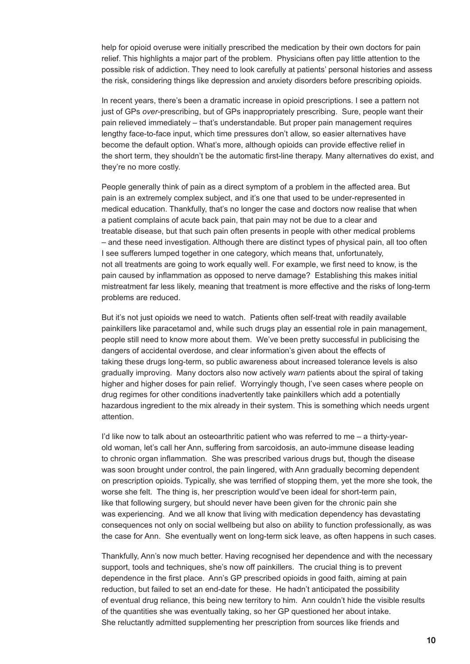help for opioid overuse were initially prescribed the medication by their own doctors for pain relief. This highlights a major part of the problem. Physicians often pay little attention to the possible risk of addiction. They need to look carefully at patients' personal histories and assess the risk, considering things like depression and anxiety disorders before prescribing opioids.

 In recent years, there's been a dramatic increase in opioid prescriptions. I see a pattern not just of GPs *over*-prescribing, but of GPs inappropriately prescribing. Sure, people want their pain relieved immediately – that's understandable. But proper pain management requires lengthy face-to-face input, which time pressures don't allow, so easier alternatives have become the default option. What's more, although opioids can provide effective relief in the short term, they shouldn't be the automatic first-line therapy. Many alternatives do exist, and they're no more costly.

 People generally think of pain as a direct symptom of a problem in the affected area. But pain is an extremely complex subject, and it's one that used to be under-represented in medical education. Thankfully, that's no longer the case and doctors now realise that when a patient complains of acute back pain, that pain may not be due to a clear and treatable disease, but that such pain often presents in people with other medical problems – and these need investigation. Although there are distinct types of physical pain, all too often I see sufferers lumped together in one category, which means that, unfortunately, not all treatments are going to work equally well. For example, we first need to know, is the pain caused by inflammation as opposed to nerve damage? Establishing this makes initial mistreatment far less likely, meaning that treatment is more effective and the risks of long-term problems are reduced.

 But it's not just opioids we need to watch. Patients often self-treat with readily available painkillers like paracetamol and, while such drugs play an essential role in pain management, people still need to know more about them. We've been pretty successful in publicising the dangers of accidental overdose, and clear information's given about the effects of taking these drugs long-term, so public awareness about increased tolerance levels is also gradually improving. Many doctors also now actively *warn* patients about the spiral of taking higher and higher doses for pain relief. Worryingly though, I've seen cases where people on drug regimes for other conditions inadvertently take painkillers which add a potentially hazardous ingredient to the mix already in their system. This is something which needs urgent attention.

 I'd like now to talk about an osteoarthritic patient who was referred to me – a thirty-year old woman, let's call her Ann, suffering from sarcoidosis, an auto-immune disease leading to chronic organ inflammation. She was prescribed various drugs but, though the disease was soon brought under control, the pain lingered, with Ann gradually becoming dependent on prescription opioids. Typically, she was terrified of stopping them, yet the more she took, the worse she felt. The thing is, her prescription would've been ideal for short-term pain, like that following surgery, but should never have been given for the chronic pain she was experiencing. And we all know that living with medication dependency has devastating consequences not only on social wellbeing but also on ability to function professionally, as was the case for Ann. She eventually went on long-term sick leave, as often happens in such cases.

 Thankfully, Ann's now much better. Having recognised her dependence and with the necessary support, tools and techniques, she's now off painkillers. The crucial thing is to prevent dependence in the first place. Ann's GP prescribed opioids in good faith, aiming at pain reduction, but failed to set an end-date for these. He hadn't anticipated the possibility of eventual drug reliance, this being new territory to him. Ann couldn't hide the visible results of the quantities she was eventually taking, so her GP questioned her about intake. She reluctantly admitted supplementing her prescription from sources like friends and